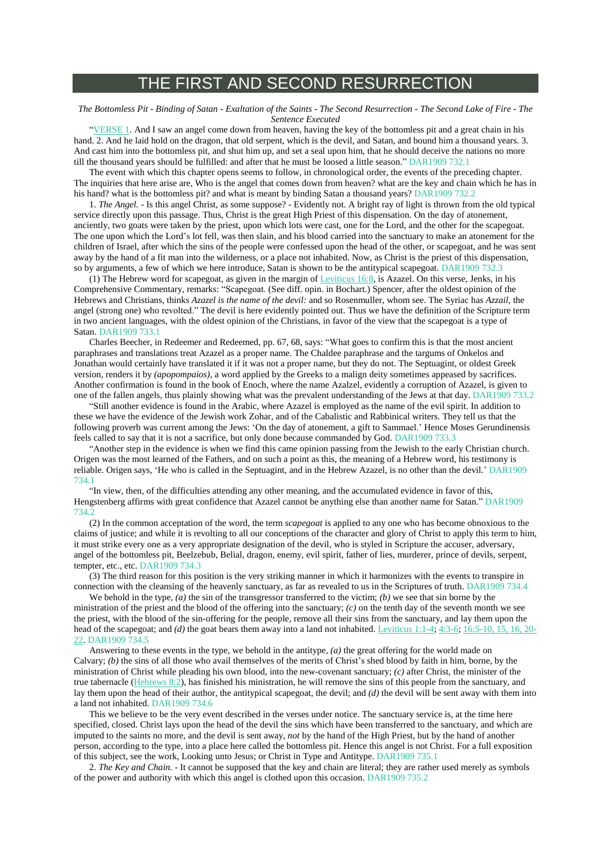## THE FIRST AND SECOND RESURRECTION

## The Bottomless Pit - Binding of Satan - Exaltation of the Saints - The Second Resurrection - The Second Lake of Fire - The *Sentence Executed*

["VERSE](https://m.egwwritings.org/en/book/1965.63334#63334)  $1$ . And I saw an angel come down from heaven, having the key of the bottomless pit and a great chain in his hand. 2. And he laid hold on the dragon, that old serpent, which is the devil, and Satan, and bound him a thousand years. 3. And cast him into the bottomless pit, and shut him up, and set a seal upon him, that he should deceive the nations no more till the thousand years should be fulfilled: and after that he must be loosed a little season." DAR1909 732.1

The event with which this chapter opens seems to follow, in chronological order, the events of the preceding chapter. The inquiries that here arise are, Who is the angel that comes down from heaven? what are the key and chain which he has in his hand? what is the bottomless pit? and what is meant by binding Satan a thousand years? DAR1909 732.2

1. *The Angel.* - Is this angel Christ, as some suppose? - Evidently not. A bright ray of light is thrown from the old typical service directly upon this passage. Thus, Christ is the great High Priest of this dispensation. On the day of atonement, anciently, two goats were taken by the priest, upon which lots were cast, one for the Lord, and the other for the scapegoat. The one upon which the Lord's lot fell, was then slain, and his blood carried into the sanctuary to make an atonement for the children of Israel, after which the sins of the people were confessed upon the head of the other, or scapegoat, and he was sent away by the hand of a fit man into the wilderness, or a place not inhabited. Now, as Christ is the priest of this dispensation, so by arguments, a few of which we here introduce. Satan is shown to be the antitypical scapegoat. DAR1909 732.3

(1) The Hebrew word for scapegoat, as given in the margin of [Leviticus](https://m.egwwritings.org/en/book/1965.6530#6530) 16:8, is Azazel. On this verse, Jenks, in his Comprehensive Commentary, remarks: "Scapegoat. (See diff. opin. in Bochart.) Spencer, after the oldest opinion of the Hebrews and Christians, thinks *Azazel is the name of the devil:* and so Rosenmuller, whom see. The Syriac has *Azzail,* the angel (strong one) who revolted." The devil is here evidently pointed out. Thus we have the definition of the Scripture term in two ancient languages, with the oldest opinion of the Christians, in favor of the view that the scapegoat is a type of Satan. DAR1909 733.1

Charles Beecher, in Redeemer and Redeemed, pp. 67, 68, says: "What goes to confirm this is that the most ancient paraphrases and translations treat Azazel as a proper name. The Chaldee paraphrase and the targums of Onkelos and Jonathan would certainly have translated it if it was not a proper name, but they do not. The Septuagint, or oldest Greek version, renders it by *(apopompaios)*, a word applied by the Greeks to a malign deity sometimes appeased by sacrifices. Another confirmation is found in the book of Enoch, where the name Azalzel, evidently a corruption of Azazel, is given to one of the fallen angels, thus plainly showing what was the prevalent understanding of the Jews at that day. DAR1909 733.2

"Still another evidence is found in the Arabic, where Azazel is employed as the name of the evil spirit. In addition to these we have the evidence of the Jewish work Zohar, and of the Cabalistic and Rabbinical writers. They tell us that the following proverb was current among the Jews: 'On the day of atonement, a gift to Sammael.' Hence Moses Gerundinensis feels called to say that it is not a sacrifice, but only done because commanded by God. DAR1909 733.3

"Another step in the evidence is when we find this came opinion passing from the Jewish to the early Christian church. Origen was the most learned of the Fathers, and on such a point as this, the meaning of a Hebrew word, his testimony is reliable. Origen says, 'He who is called in the Septuagint, and in the Hebrew Azazel, is no other than the devil.' DAR1909 734.1

"In view, then, of the difficulties attending any other meaning, and the accumulated evidence in favor of this, Hengstenberg affirms with great confidence that Azazel cannot be anything else than another name for Satan." DAR1909 734.2

(2) In the common acceptation of the word, the term *scapegoat* is applied to any one who has become obnoxious to the claims of justice; and while it is revolting to all our conceptions of the character and glory of Christ to apply this term to him, it must strike every one as a very appropriate designation of the devil, who is styled in Scripture the accuser, adversary, angel of the bottomless pit, Beelzebub, Belial, dragon, enemy, evil spirit, father of lies, murderer, prince of devils, serpent, tempter, etc., etc. DAR1909 734.3

(3) The third reason for this position is the very striking manner in which it harmonizes with the events to transpire in connection with the cleansing of the heavenly sanctuary, as far as revealed to us in the Scriptures of truth. DAR1909 734.4

We behold in the type,  $(a)$  the sin of the transgressor transferred to the victim;  $(b)$  we see that sin borne by the ministration of the priest and the blood of the offering into the sanctuary; *(c)* on the tenth day of the seventh month we see the priest, with the blood of the sin-offering for the people, remove all their sins from the sanctuary, and lay them upon the head of the scapegoat; and *(d)* the goat bears them away into a land not inhabited. [Leviticus](https://m.egwwritings.org/en/book/1965.5589#5589) 1:1-4, [4:3-6;](https://m.egwwritings.org/en/book/1965.5696#5696) [16:5-10,](https://m.egwwritings.org/en/book/1965.6524#6524) 15, 16, 20-[22.](https://m.egwwritings.org/en/book/1965.6524#6524) DAR1909 734.5

Answering to these events in the type, we behold in the antitype, *(a)* the great offering for the world made on Calvary; *(b)* the sins of all those who avail themselves of the merits of Christ's shed blood by faith in him, borne, by the ministration of Christ while pleading his own blood, into the new-covenant sanctuary; *(c)* after Christ, the minister of the true tabernacle [\(Hebrews](https://m.egwwritings.org/en/book/1965.61390#61390) 8:2), has finished his ministration, he will remove the sins of this people from the sanctuary, and lay them upon the head of their author, the antitypical scapegoat, the devil; and (d) the devil will be sent away with them into a land not inhabited. DAR1909 734.6

This we believe to be the very event described in the verses under notice. The sanctuary service is, at the time here specified, closed. Christ lays upon the head of the devil the sins which have been transferred to the sanctuary, and which are imputed to the saints no more, and the devil is sent away, *not* by the hand of the High Priest, but by the hand of another person, according to the type, into a place here called the bottomless pit. Hence this angel is not Christ. For a full exposition of this subject, see the work, Looking unto Jesus; or Christ in Type and Antitype. DAR1909 735.1

2. *The Key and Chain.* - It cannot be supposed that the key and chain are literal; they are rather used merely as symbols of the power and authority with which this angel is clothed upon this occasion. DAR1909 735.2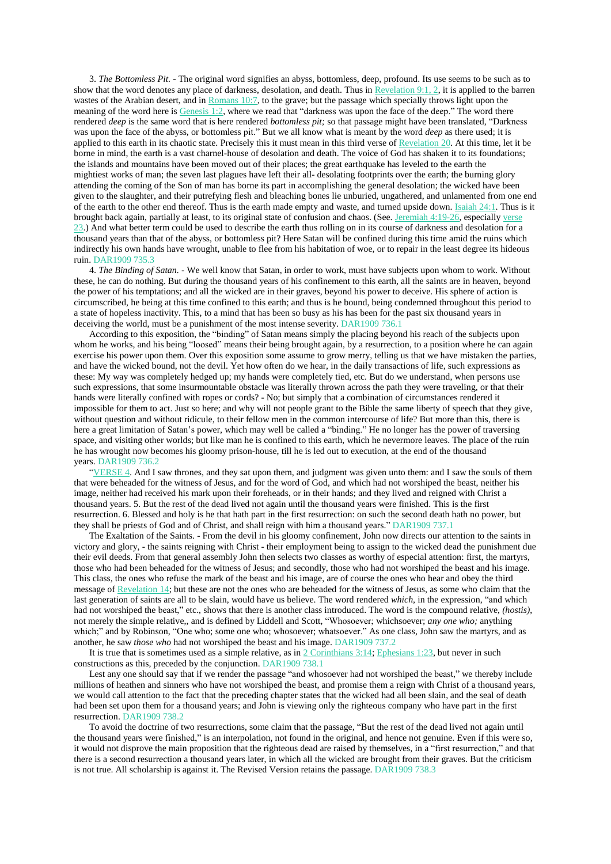3. *The Bottomless Pit.* - The original word signifies an abyss, bottomless, deep, profound. Its use seems to be such as to show that the word denotes any place of darkness, desolation, and death. Thus in [Revelation](https://m.egwwritings.org/en/book/1965.62927#62927) 9:1, 2, it is applied to the barren wastes of the Arabian desert, and in [Romans](https://m.egwwritings.org/en/book/1965.57494#57494) 10:7, to the grave; but the passage which specially throws light upon the meaning of the word here is [Genesis](https://m.egwwritings.org/en/book/1965.7#7) 1:2, where we read that "darkness was upon the face of the deep." The word there rendered *deep* is the same word that is here rendered *bottomless pit;* so that passage might have been translated, "Darkness was upon the face of the abyss, or bottomless pit." But we all know what is meant by the word *deep* as there used; it is applied to this earth in its chaotic state. Precisely this it must mean in this third verse of [Revelation](https://m.egwwritings.org/en/book/1965.63334#63334) 20. At this time, let it be borne in mind, the earth is a vast charnel-house of desolation and death. The voice of God has shaken it to its foundations; the islands and mountains have been moved out of their places; the great earthquake has leveled to the earth the mightiest works of man; the seven last plagues have left their all- desolating footprints over the earth; the burning glory attending the coming of the Son of man has borne its part in accomplishing the general desolation; the wicked have been given to the slaughter, and their putrefying flesh and bleaching bones lie unburied, ungathered, and unlamented from one end of the earth to the other end thereof. Thus is the earth made empty and waste, and turned upside down. [Isaiah](https://m.egwwritings.org/en/book/1965.36921#36921) 24:1. Thus is it brought back again, partially at least, to its original state of confusion and chaos. (See. [Jeremiah](https://m.egwwritings.org/en/book/1965.38868#38868) 4:19-26, especially [verse](https://m.egwwritings.org/en/book/1965.38876#38876) [23.](https://m.egwwritings.org/en/book/1965.38876#38876)) And what better term could be used to describe the earth thus rolling on in its course of darkness and desolation for a thousand years than that of the abyss, or bottomless pit? Here Satan will be confined during this time amid the ruins which indirectly his own hands have wrought, unable to flee from his habitation of woe, or to repair in the least degree its hideous ruin. DAR1909 735.3

4. *The Binding of Satan.* - We well know that Satan, in order to work, must have subjects upon whom to work. Without these, he can do nothing. But during the thousand years of his confinement to this earth, all the saints are in heaven, beyond the power of his temptations; and all the wicked are in their graves, beyond his power to deceive. His sphere of action is circumscribed, he being at this time confined to this earth; and thus is he bound, being condemned throughout this period to a state of hopeless inactivity. This, to a mind that has been so busy as his has been for the past six thousand years in deceiving the world, must be a punishment of the most intense severity. DAR1909 736.1

According to this exposition, the "binding" of Satan means simply the placing beyond his reach of the subjects upon whom he works, and his being "loosed" means their being brought again, by a resurrection, to a position where he can again exercise his power upon them. Over this exposition some assume to grow merry, telling us that we have mistaken the parties, and have the wicked bound, not the devil. Yet how often do we hear, in the daily transactions of life, such expressions as these: My way was completely hedged up; my hands were completely tied, etc. But do we understand, when persons use such expressions, that some insurmountable obstacle was literally thrown across the path they were traveling, or that their hands were literally confined with ropes or cords? - No; but simply that a combination of circumstances rendered it impossible for them to act. Just so here; and why will not people grant to the Bible the same liberty of speech that they give, without question and without ridicule, to their fellow men in the common intercourse of life? But more than this, there is here a great limitation of Satan's power, which may well be called a "binding." He no longer has the power of traversing space, and visiting other worlds; but like man he is confined to this earth, which he nevermore leaves. The place of the ruin he has wrought now becomes his gloomy prison-house, till he is led out to execution, at the end of the thousand years. DAR1909 736.2

["VERSE](https://m.egwwritings.org/en/book/1965.63340#63340) 4. And I saw thrones, and they sat upon them, and judgment was given unto them: and I saw the souls of them that were beheaded for the witness of Jesus, and for the word of God, and which had not worshiped the beast, neither his image, neither had received his mark upon their foreheads, or in their hands; and they lived and reigned with Christ a thousand years. 5. But the rest of the dead lived not again until the thousand years were finished. This is the first resurrection. 6. Blessed and holy is he that hath part in the first resurrection: on such the second death hath no power, but they shall be priests of God and of Christ, and shall reign with him a thousand years." DAR1909 737.1

The Exaltation of the Saints. - From the devil in his gloomy confinement, John now directs our attention to the saints in victory and glory, - the saints reigning with Christ - their employment being to assign to the wicked dead the punishment due their evil deeds. From that general assembly John then selects two classes as worthy of especial attention: first, the martyrs, those who had been beheaded for the witness of Jesus; and secondly, those who had not worshiped the beast and his image. This class, the ones who refuse the mark of the beast and his image, are of course the ones who hear and obey the third message of [Revelation](https://m.egwwritings.org/en/book/1965.63104#63104) 14; but these are not the ones who are beheaded for the witness of Jesus, as some who claim that the last generation of saints are all to be slain, would have us believe. The word rendered *which*, in the expression, "and which had not worshiped the beast," etc., shows that there is another class introduced. The word is the compound relative, *(hostis)*, not merely the simple relative,, and is defined by Liddell and Scott, "Whosoever; whichsoever; *any one who;* anything which;" and by Robinson, "One who; some one who; whosoever; whatsoever." As one class, John saw the martyrs, and as another, he saw *those who* had not worshiped the beast and his image. DAR1909 737.2

It is true that is sometimes used as a simple relative, as in 2 [Corinthians](https://m.egwwritings.org/en/book/1965.58841#58841) 3:14; [Ephesians](https://m.egwwritings.org/en/book/1965.59608#59608) 1:23, but never in such constructions as this, preceded by the conjunction. DAR1909 738.1

Lest any one should say that if we render the passage "and whosoever had not worshiped the beast," we thereby include millions of heathen and sinners who have not worshiped the beast, and promise them a reign with Christ of a thousand years, we would call attention to the fact that the preceding chapter states that the wicked had all been slain, and the seal of death had been set upon them for a thousand years; and John is viewing only the righteous company who have part in the first resurrection. DAR1909 738.2

To avoid the doctrine of two resurrections, some claim that the passage, "But the rest of the dead lived not again until the thousand years were finished," is an interpolation, not found in the original, and hence not genuine. Even if this were so, it would not disprove the main proposition that the righteous dead are raised by themselves, in a "first resurrection," and that there is a second resurrection a thousand years later, in which all the wicked are brought from their graves. But the criticism is not true. All scholarship is against it. The Revised Version retains the passage. DAR1909 738.3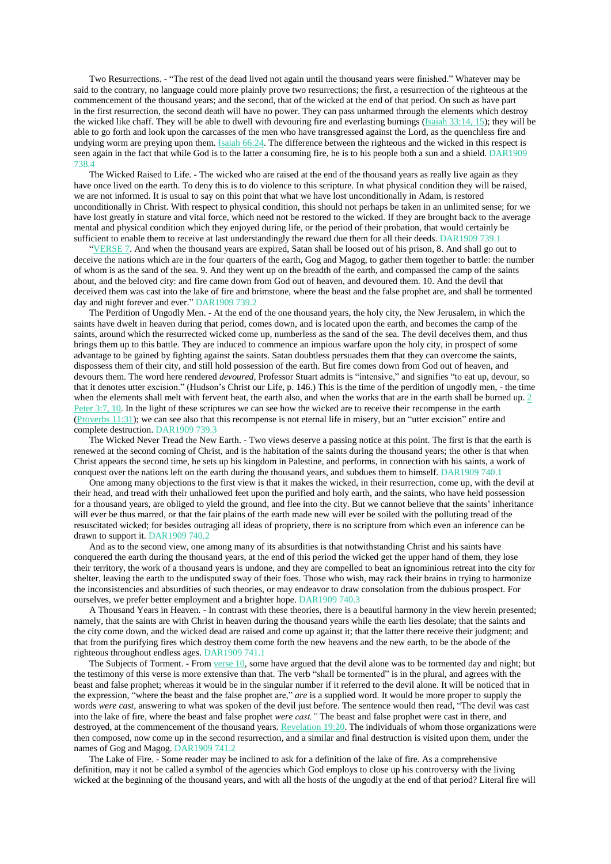Two Resurrections. - "The rest of the dead lived not again until the thousand years were finished." Whatever may be said to the contrary, no language could more plainly prove two resurrections; the first, a resurrection of the righteous at the commencement of the thousand years; and the second, that of the wicked at the end of that period. On such as have part in the first resurrection, the second death will have no power. They can pass unharmed through the elements which destroy the wicked like chaff. They will be able to dwell with devouring fire and everlasting burnings [\(Isaiah](https://m.egwwritings.org/en/book/1965.37324#37324) 33:14, 15); they will be able to go forth and look upon the carcasses of the men who have transgressed against the Lord, as the quenchless fire and undying worm are preying upon them. Isaiah [66:24.](https://m.egwwritings.org/en/book/1965.38663#38663) The difference between the righteous and the wicked in this respect is seen again in the fact that while God is to the latter a consuming fire, he is to his people both a sun and a shield. DAR1909 738.4

The Wicked Raised to Life. - The wicked who are raised at the end of the thousand years as really live again as they have once lived on the earth. To deny this is to do violence to this scripture. In what physical condition they will be raised, we are not informed. It is usual to say on this point that what we have lost unconditionally in Adam, is restored unconditionally in Christ. With respect to physical condition, this should not perhaps be taken in an unlimited sense; for we have lost greatly in stature and vital force, which need not be restored to the wicked. If they are brought back to the average mental and physical condition which they enjoyed during life, or the period of their probation, that would certainly be sufficient to enable them to receive at last understandingly the reward due them for all their deeds. DAR1909 739.1

["VERSE](https://m.egwwritings.org/en/book/1965.63346#63346) 7. And when the thousand years are expired, Satan shall be loosed out of his prison, 8. And shall go out to deceive the nations which are in the four quarters of the earth, Gog and Magog, to gather them together to battle: the number of whom is as the sand of the sea. 9. And they went up on the breadth of the earth, and compassed the camp of the saints about, and the beloved city: and fire came down from God out of heaven, and devoured them. 10. And the devil that deceived them was cast into the lake of fire and brimstone, where the beast and the false prophet are, and shall be tormented day and night forever and ever." DAR1909 739.2

The Perdition of Ungodly Men. - At the end of the one thousand years, the holy city, the New Jerusalem, in which the saints have dwelt in heaven during that period, comes down, and is located upon the earth, and becomes the camp of the saints, around which the resurrected wicked come up, numberless as the sand of the sea. The devil deceives them, and thus brings them up to this battle. They are induced to commence an impious warfare upon the holy city, in prospect of some advantage to be gained by fighting against the saints. Satan doubtless persuades them that they can overcome the saints, dispossess them of their city, and still hold possession of the earth. But fire comes down from God out of heaven, and devours them. The word here rendered *devoured,* Professor Stuart admits is "intensive," and signifies "to eat up, devour, so that it denotes utter excision." (Hudson's Christ our Life, p. 146.) This is the time of the perdition of ungodly men, - the time when the elements shall melt with fervent heat, the earth also, and when the works that are in the earth shall be burned up. [2](https://m.egwwritings.org/en/book/1965.62281#62281) [Peter](https://m.egwwritings.org/en/book/1965.62281#62281) 3:7, 10. In the light of these scriptures we can see how the wicked are to receive their recompense in the earth [\(Proverbs](https://m.egwwritings.org/en/book/1965.34100#34100) 11:31); we can see also that this recompense is not eternal life in misery, but an "utter excision" entire and complete destruction. DAR1909 739.3

The Wicked Never Tread the New Earth. - Two views deserve a passing notice at this point. The first is that the earth is renewed at the second coming of Christ, and is the habitation of the saints during the thousand years; the other is that when Christ appears the second time, he sets up his kingdom in Palestine, and performs, in connection with his saints, a work of conquest over the nations left on the earth during the thousand years, and subdues them to himself. DAR1909 740.1

One among many objections to the first view is that it makes the wicked, in their resurrection, come up, with the devil at their head, and tread with their unhallowed feet upon the purified and holy earth, and the saints, who have held possession for a thousand years, are obliged to yield the ground, and flee into the city. But we cannot believe that the saints' inheritance will ever be thus marred, or that the fair plains of the earth made new will ever be soiled with the polluting tread of the resuscitated wicked; for besides outraging all ideas of propriety, there is no scripture from which even an inference can be drawn to support it. DAR1909 740.2

And as to the second view, one among many of its absurdities is that notwithstanding Christ and his saints have conquered the earth during the thousand years, at the end of this period the wicked get the upper hand of them, they lose their territory, the work of a thousand years is undone, and they are compelled to beat an ignominious retreat into the city for shelter, leaving the earth to the undisputed sway of their foes. Those who wish, may rack their brains in trying to harmonize the inconsistencies and absurdities of such theories, or may endeavor to draw consolation from the dubious prospect. For ourselves, we prefer better employment and a brighter hope. DAR1909 740.3

A Thousand Years in Heaven. - In contrast with these theories, there is a beautiful harmony in the view herein presented; namely, that the saints are with Christ in heaven during the thousand years while the earth lies desolate; that the saints and the city come down, and the wicked dead are raised and come up against it; that the latter there receive their judgment; and that from the purifying fires which destroy them come forth the new heavens and the new earth, to be the abode of the righteous throughout endless ages. DAR1909 741.1

The Subjects of Torment. - From [verse](https://m.egwwritings.org/en/book/1965.63352#63352) 10, some have argued that the devil alone was to be tormented day and night; but the testimony of this verse is more extensive than that. The verb "shall be tormented" is in the plural, and agrees with the beast and false prophet; whereas it would be in the singular number if it referred to the devil alone. It will be noticed that in the expression, "where the beast and the false prophet are," *are* is a supplied word. It would be more proper to supply the words *were cast,* answering to what was spoken of the devil just before. The sentence would then read, "The devil was cast into the lake of fire, where the beast and false prophet *were cast."* The beast and false prophet were cast in there, and destroyed, at the commencement of the thousand years. [Revelation](https://m.egwwritings.org/en/book/1965.63329#63329) 19:20. The individuals of whom those organizations were then composed, now come up in the second resurrection, and a similar and final destruction is visited upon them, under the names of Gog and Magog. DAR1909 741.2

The Lake of Fire. - Some reader may be inclined to ask for a definition of the lake of fire. As a comprehensive definition, may it not be called a symbol of the agencies which God employs to close up his controversy with the living wicked at the beginning of the thousand years, and with all the hosts of the ungodly at the end of that period? Literal fire will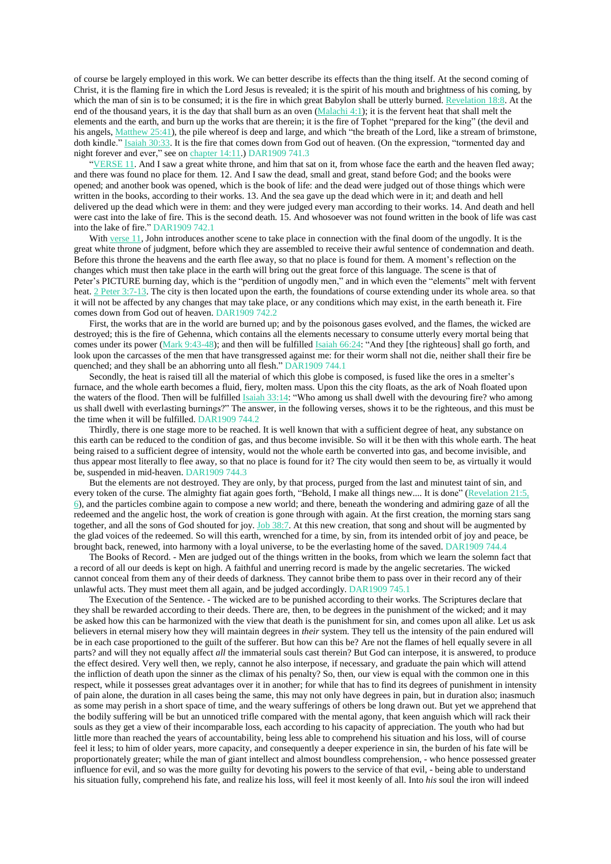of course be largely employed in this work. We can better describe its effects than the thing itself. At the second coming of Christ, it is the flaming fire in which the Lord Jesus is revealed; it is the spirit of his mouth and brightness of his coming, by which the man of sin is to be consumed; it is the fire in which great Babylon shall be utterly burned. [Revelation](https://m.egwwritings.org/en/book/1965.63256#63256) 18:8. At the end of the thousand years, it is the day that shall burn as an oven  $(Malachi 4:1)$  $(Malachi 4:1)$ ; it is the fervent heat that shall melt the elements and the earth, and burn up the works that are therein; it is the fire of Tophet "prepared for the king" (the devil and his angels, [Matthew](https://m.egwwritings.org/en/book/1965.49095#49095) 25:41), the pile whereof is deep and large, and which "the breath of the Lord, like a stream of brimstone, doth kindle." Isaiah [30:33.](https://m.egwwritings.org/en/book/1965.37235#37235) It is the fire that comes down from God out of heaven. (On the expression, "tormented day and night forever and ever," see on [chapter](https://m.egwwritings.org/en/book/1965.63124#63124) 14:11.) DAR1909 741.3

["VERSE](https://m.egwwritings.org/en/book/1965.63354#63354) 11. And I saw a great white throne, and him that sat on it, from whose face the earth and the heaven fled away; and there was found no place for them. 12. And I saw the dead, small and great, stand before God; and the books were opened; and another book was opened, which is the book of life: and the dead were judged out of those things which were written in the books, according to their works. 13. And the sea gave up the dead which were in it; and death and hell delivered up the dead which were in them: and they were judged every man according to their works. 14. And death and hell were cast into the lake of fire. This is the second death. 15. And whosoever was not found written in the book of life was cast into the lake of fire." DAR1909 742.1

With [verse](https://m.egwwritings.org/en/book/1965.63354#63354) 11, John introduces another scene to take place in connection with the final doom of the ungodly. It is the great white throne of judgment, before which they are assembled to receive their awful sentence of condemnation and death. Before this throne the heavens and the earth flee away, so that no place is found for them. A moment's reflection on the changes which must then take place in the earth will bring out the great force of this language. The scene is that of Peter's PICTURE burning day, which is the "perdition of ungodly men," and in which even the "elements" melt with fervent heat. 2 Peter [3:7-13.](https://m.egwwritings.org/en/book/1965.62281#62281) The city is then located upon the earth, the foundations of course extending under its whole area. so that it will not be affected by any changes that may take place, or any conditions which may exist, in the earth beneath it. Fire comes down from God out of heaven. DAR1909 742.2

First, the works that are in the world are burned up; and by the poisonous gases evolved, and the flames, the wicked are destroyed; this is the fire of Gehenna, which contains all the elements necessary to consume utterly every mortal being that comes under its power (Mark [9:43-48\)](https://m.egwwritings.org/en/book/1965.50172#50172); and then will be fulfilled Isaiah [66:24:](https://m.egwwritings.org/en/book/1965.38663#38663) "And they [the righteous] shall go forth, and look upon the carcasses of the men that have transgressed against me: for their worm shall not die, neither shall their fire be quenched; and they shall be an abhorring unto all flesh." DAR1909 744.1

Secondly, the heat is raised till all the material of which this globe is composed, is fused like the ores in a smelter's furnace, and the whole earth becomes a fluid, fiery, molten mass. Upon this the city floats, as the ark of Noah floated upon the waters of the flood. Then will be fulfilled Isaiah [33:14:](https://m.egwwritings.org/en/book/1965.37324#37324) "Who among us shall dwell with the devouring fire? who among us shall dwell with everlasting burnings?" The answer, in the following verses, shows it to be the righteous, and this must be the time when it will be fulfilled. DAR1909 744.2

Thirdly, there is one stage more to be reached. It is well known that with a sufficient degree of heat, any substance on this earth can be reduced to the condition of gas, and thus become invisible. So will it be then with this whole earth. The heat being raised to a sufficient degree of intensity, would not the whole earth be converted into gas, and become invisible, and thus appear most literally to flee away, so that no place is found for it? The city would then seem to be, as virtually it would be, suspended in mid-heaven. DAR1909 744.3

But the elements are not destroyed. They are only, by that process, purged from the last and minutest taint of sin, and every token of the curse. The almighty fiat again goes forth, "Behold, I make all things new.... It is done" [\(Revelation](https://m.egwwritings.org/en/book/1965.63373#63373) 21:5, [6\)](https://m.egwwritings.org/en/book/1965.63373#63373), and the particles combine again to compose a new world; and there, beneath the wondering and admiring gaze of all the redeemed and the angelic host, the work of creation is gone through with again. At the first creation, the morning stars sang together, and all the sons of God shouted for joy. Job [38:7.](https://m.egwwritings.org/en/book/1965.28095#28095) At this new creation, that song and shout will be augmented by the glad voices of the redeemed. So will this earth, wrenched for a time, by sin, from its intended orbit of joy and peace, be brought back, renewed, into harmony with a loyal universe, to be the everlasting home of the saved. DAR1909 744.4

The Books of Record. - Men are judged out of the things written in the books, from which we learn the solemn fact that a record of all our deeds is kept on high. A faithful and unerring record is made by the angelic secretaries. The wicked cannot conceal from them any of their deeds of darkness. They cannot bribe them to pass over in their record any of their unlawful acts. They must meet them all again, and be judged accordingly. DAR1909 745.1

The Execution of the Sentence. - The wicked are to be punished according to their works. The Scriptures declare that they shall be rewarded according to their deeds. There are, then, to be degrees in the punishment of the wicked; and it may be asked how this can be harmonized with the view that death is the punishment for sin, and comes upon all alike. Let us ask believers in eternal misery how they will maintain degrees in *their* system. They tell us the intensity of the pain endured will be in each case proportioned to the guilt of the sufferer. But how can this be? Are not the flames of hell equally severe in all parts? and will they not equally affect *all* the immaterial souls cast therein? But God can interpose, it is answered, to produce the effect desired. Very well then, we reply, cannot he also interpose, if necessary, and graduate the pain which will attend the infliction of death upon the sinner as the climax of his penalty? So, then, our view is equal with the common one in this respect, while it possesses great advantages over it in another; for while that has to find its degrees of punishment in intensity of pain alone, the duration in all cases being the same, this may not only have degrees in pain, but in duration also; inasmuch as some may perish in a short space of time, and the weary sufferings of others be long drawn out. But yet we apprehend that the bodily suffering will be but an unnoticed trifle compared with the mental agony, that keen anguish which will rack their souls as they get a view of their incomparable loss, each according to his capacity of appreciation. The youth who had but little more than reached the years of accountability, being less able to comprehend his situation and his loss, will of course feel it less; to him of older years, more capacity, and consequently a deeper experience in sin, the burden of his fate will be proportionately greater; while the man of giant intellect and almost boundless comprehension, - who hence possessed greater influence for evil, and so was the more guilty for devoting his powers to the service of that evil, - being able to understand his situation fully, comprehend his fate, and realize his loss, will feel it most keenly of all. Into *his* soul the iron will indeed